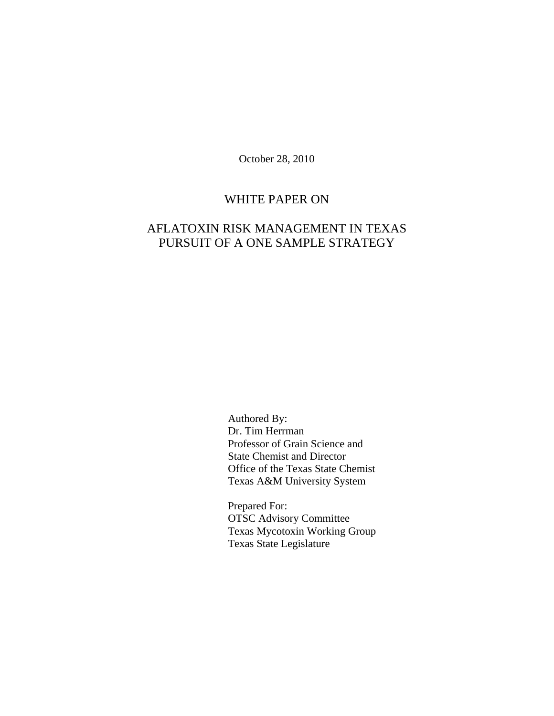October 28, 2010

# WHITE PAPER ON

# AFLATOXIN RISK MANAGEMENT IN TEXAS PURSUIT OF A ONE SAMPLE STRATEGY

Authored By: Dr. Tim Herrman Professor of Grain Science and State Chemist and Director Office of the Texas State Chemist Texas A&M University System

Prepared For: OTSC Advisory Committee Texas Mycotoxin Working Group Texas State Legislature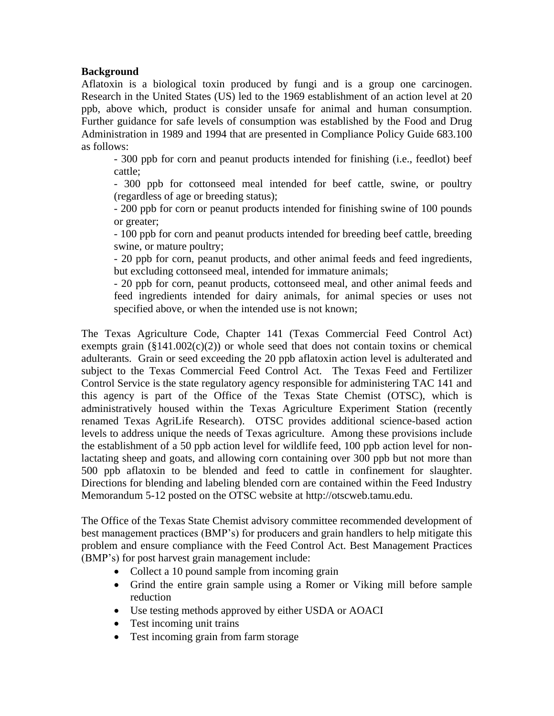## **Background**

Aflatoxin is a biological toxin produced by fungi and is a group one carcinogen. Research in the United States (US) led to the 1969 establishment of an action level at 20 ppb, above which, product is consider unsafe for animal and human consumption. Further guidance for safe levels of consumption was established by the Food and Drug Administration in 1989 and 1994 that are presented in Compliance Policy Guide 683.100 as follows:

- 300 ppb for corn and peanut products intended for finishing (i.e., feedlot) beef cattle;

- 300 ppb for cottonseed meal intended for beef cattle, swine, or poultry (regardless of age or breeding status);

- 200 ppb for corn or peanut products intended for finishing swine of 100 pounds or greater;

- 100 ppb for corn and peanut products intended for breeding beef cattle, breeding swine, or mature poultry;

- 20 ppb for corn, peanut products, and other animal feeds and feed ingredients, but excluding cottonseed meal, intended for immature animals;

- 20 ppb for corn, peanut products, cottonseed meal, and other animal feeds and feed ingredients intended for dairy animals, for animal species or uses not specified above, or when the intended use is not known;

The Texas Agriculture Code, Chapter 141 (Texas Commercial Feed Control Act) exempts grain  $(\S141.002(c)(2))$  or whole seed that does not contain toxins or chemical adulterants. Grain or seed exceeding the 20 ppb aflatoxin action level is adulterated and subject to the Texas Commercial Feed Control Act. The Texas Feed and Fertilizer Control Service is the state regulatory agency responsible for administering TAC 141 and this agency is part of the Office of the Texas State Chemist (OTSC), which is administratively housed within the Texas Agriculture Experiment Station (recently renamed Texas AgriLife Research). OTSC provides additional science-based action levels to address unique the needs of Texas agriculture. Among these provisions include the establishment of a 50 ppb action level for wildlife feed, 100 ppb action level for nonlactating sheep and goats, and allowing corn containing over 300 ppb but not more than 500 ppb aflatoxin to be blended and feed to cattle in confinement for slaughter. Directions for blending and labeling blended corn are contained within the Feed Industry Memorandum 5-12 posted on the OTSC website at http://otscweb.tamu.edu.

The Office of the Texas State Chemist advisory committee recommended development of best management practices (BMP's) for producers and grain handlers to help mitigate this problem and ensure compliance with the Feed Control Act. Best Management Practices (BMP's) for post harvest grain management include:

- Collect a 10 pound sample from incoming grain
- Grind the entire grain sample using a Romer or Viking mill before sample reduction
- Use testing methods approved by either USDA or AOACI
- Test incoming unit trains
- Test incoming grain from farm storage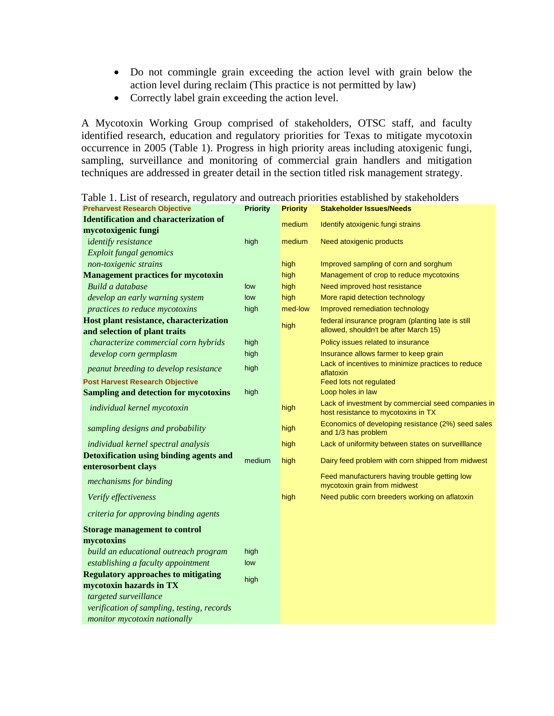- Do not commingle grain exceeding the action level with grain below the action level during reclaim (This practice is not permitted by law)
- Correctly label grain exceeding the action level.

A Mycotoxin Working Group comprised of stakeholders, OTSC staff, and faculty identified research, education and regulatory priorities for Texas to mitigate mycotoxin occurrence in 2005 (Table 1). Progress in high priority areas including atoxigenic fungi, sampling, surveillance and monitoring of commercial grain handlers and mitigation techniques are addressed in greater detail in the section titled risk management strategy.

| <b>Preharvest Research Objective</b>                                  | <b>Priority</b> | <b>Priority</b> | <b>Stakeholder Issues/Needs</b>                                                           |
|-----------------------------------------------------------------------|-----------------|-----------------|-------------------------------------------------------------------------------------------|
| <b>Identification and characterization of</b>                         |                 | medium          | Identify atoxigenic fungi strains                                                         |
| mycotoxigenic fungi                                                   |                 |                 |                                                                                           |
| <i>identify resistance</i>                                            | high            | medium          | Need atoxigenic products                                                                  |
| Exploit fungal genomics                                               |                 |                 |                                                                                           |
| non-toxigenic strains                                                 |                 | high            | Improved sampling of corn and sorghum                                                     |
| <b>Management practices for mycotoxin</b>                             |                 | high            | Management of crop to reduce mycotoxins                                                   |
| Build a database                                                      | low             | high            | Need improved host resistance                                                             |
| develop an early warning system                                       | low             | high            | More rapid detection technology                                                           |
| practices to reduce mycotoxins                                        | high            | med-low         | Improved remediation technology                                                           |
| Host plant resistance, characterization                               |                 | high            | federal insurance program (planting late is still                                         |
| and selection of plant traits                                         |                 |                 | allowed, shouldn't be after March 15)                                                     |
| characterize commercial corn hybrids                                  | high            |                 | Policy issues related to insurance                                                        |
| develop corn germplasm                                                | high            |                 | Insurance allows farmer to keep grain                                                     |
| peanut breeding to develop resistance                                 | high            |                 | Lack of incentives to minimize practices to reduce<br>aflatoxin                           |
| <b>Post Harvest Research Objective</b>                                |                 |                 | Feed lots not regulated                                                                   |
| <b>Sampling and detection for mycotoxins</b>                          | high            |                 | Loop holes in law                                                                         |
| individual kernel mycotoxin                                           |                 | high            | Lack of investment by commercial seed companies in<br>host resistance to mycotoxins in TX |
| sampling designs and probability                                      |                 | high            | Economics of developing resistance (2%) seed sales<br>and 1/3 has problem                 |
| individual kernel spectral analysis                                   |                 | high            | Lack of uniformity between states on surveilllance                                        |
| <b>Detoxification using binding agents and</b><br>enterosorbent clays | medium          | high            | Dairy feed problem with corn shipped from midwest                                         |
| mechanisms for binding                                                |                 |                 | Feed manufacturers having trouble getting low<br>mycotoxin grain from midwest             |
| Verify effectiveness                                                  |                 | high            | Need public corn breeders working on aflatoxin                                            |
| criteria for approving binding agents                                 |                 |                 |                                                                                           |
| <b>Storage management to control</b>                                  |                 |                 |                                                                                           |
| mycotoxins                                                            |                 |                 |                                                                                           |
| build an educational outreach program                                 | high            |                 |                                                                                           |
| establishing a faculty appointment                                    | low             |                 |                                                                                           |
| <b>Regulatory approaches to mitigating</b>                            | high            |                 |                                                                                           |
| mycotoxin hazards in TX                                               |                 |                 |                                                                                           |
| targeted surveillance                                                 |                 |                 |                                                                                           |
| verification of sampling, testing, records                            |                 |                 |                                                                                           |
| monitor mycotoxin nationally                                          |                 |                 |                                                                                           |

Table 1. List of research, regulatory and outreach priorities established by stakeholders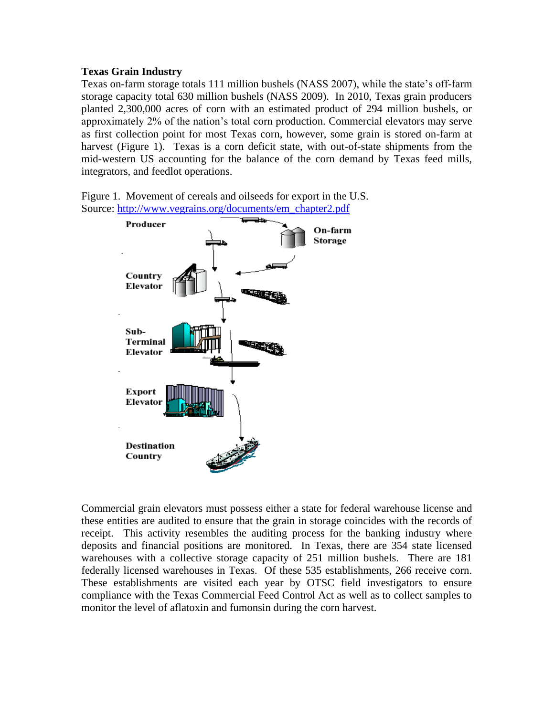## **Texas Grain Industry**

Texas on-farm storage totals 111 million bushels (NASS 2007), while the state's off-farm storage capacity total 630 million bushels (NASS 2009). In 2010, Texas grain producers planted 2,300,000 acres of corn with an estimated product of 294 million bushels, or approximately 2% of the nation's total corn production. Commercial elevators may serve as first collection point for most Texas corn, however, some grain is stored on-farm at harvest (Figure 1). Texas is a corn deficit state, with out-of-state shipments from the mid-western US accounting for the balance of the corn demand by Texas feed mills, integrators, and feedlot operations.

Figure 1. Movement of cereals and oilseeds for export in the U.S. Source: [http://www.vegrains.org/documents/em\\_chapter2.pdf](http://www.vegrains.org/documents/em_chapter2.pdf)



Commercial grain elevators must possess either a state for federal warehouse license and these entities are audited to ensure that the grain in storage coincides with the records of receipt. This activity resembles the auditing process for the banking industry where deposits and financial positions are monitored. In Texas, there are 354 state licensed warehouses with a collective storage capacity of 251 million bushels. There are 181 federally licensed warehouses in Texas. Of these 535 establishments, 266 receive corn. These establishments are visited each year by OTSC field investigators to ensure compliance with the Texas Commercial Feed Control Act as well as to collect samples to monitor the level of aflatoxin and fumonsin during the corn harvest.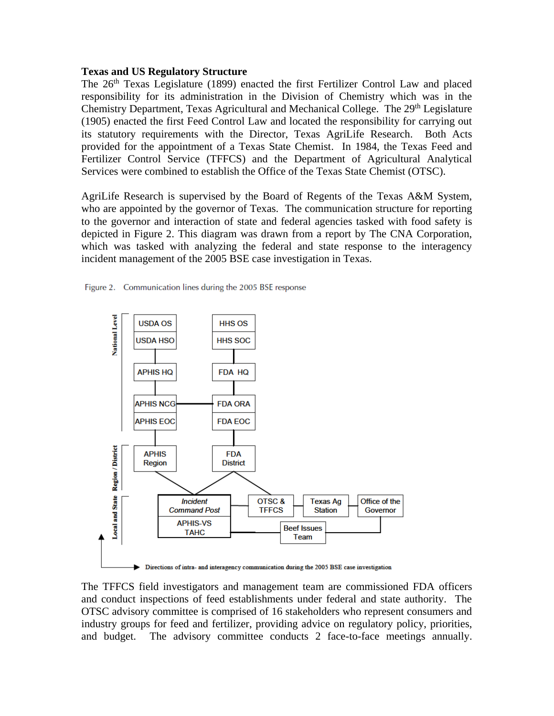#### **Texas and US Regulatory Structure**

The 26<sup>th</sup> Texas Legislature (1899) enacted the first Fertilizer Control Law and placed responsibility for its administration in the Division of Chemistry which was in the Chemistry Department, Texas Agricultural and Mechanical College. The 29<sup>th</sup> Legislature (1905) enacted the first Feed Control Law and located the responsibility for carrying out its statutory requirements with the Director, Texas AgriLife Research. Both Acts provided for the appointment of a Texas State Chemist. In 1984, the Texas Feed and Fertilizer Control Service (TFFCS) and the Department of Agricultural Analytical Services were combined to establish the Office of the Texas State Chemist (OTSC).

AgriLife Research is supervised by the Board of Regents of the Texas A&M System, who are appointed by the governor of Texas. The communication structure for reporting to the governor and interaction of state and federal agencies tasked with food safety is depicted in Figure 2. This diagram was drawn from a report by The CNA Corporation, which was tasked with analyzing the federal and state response to the interagency incident management of the 2005 BSE case investigation in Texas.





The TFFCS field investigators and management team are commissioned FDA officers and conduct inspections of feed establishments under federal and state authority. The OTSC advisory committee is comprised of 16 stakeholders who represent consumers and industry groups for feed and fertilizer, providing advice on regulatory policy, priorities, and budget. The advisory committee conducts 2 face-to-face meetings annually.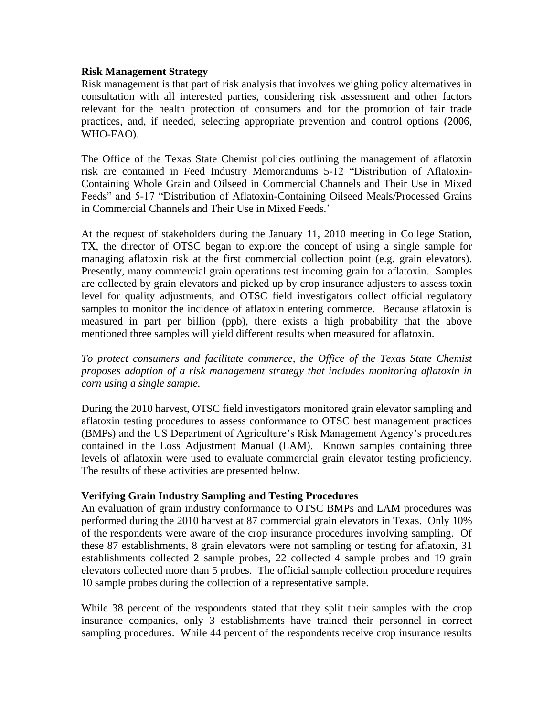#### **Risk Management Strategy**

Risk management is that part of risk analysis that involves weighing policy alternatives in consultation with all interested parties, considering risk assessment and other factors relevant for the health protection of consumers and for the promotion of fair trade practices, and, if needed, selecting appropriate prevention and control options (2006, WHO-FAO).

The Office of the Texas State Chemist policies outlining the management of aflatoxin risk are contained in Feed Industry Memorandums 5-12 "Distribution of Aflatoxin-Containing Whole Grain and Oilseed in Commercial Channels and Their Use in Mixed Feeds" and 5-17 "Distribution of Aflatoxin-Containing Oilseed Meals/Processed Grains in Commercial Channels and Their Use in Mixed Feeds.'

At the request of stakeholders during the January 11, 2010 meeting in College Station, TX, the director of OTSC began to explore the concept of using a single sample for managing aflatoxin risk at the first commercial collection point (e.g. grain elevators). Presently, many commercial grain operations test incoming grain for aflatoxin. Samples are collected by grain elevators and picked up by crop insurance adjusters to assess toxin level for quality adjustments, and OTSC field investigators collect official regulatory samples to monitor the incidence of aflatoxin entering commerce. Because aflatoxin is measured in part per billion (ppb), there exists a high probability that the above mentioned three samples will yield different results when measured for aflatoxin.

*To protect consumers and facilitate commerce, the Office of the Texas State Chemist proposes adoption of a risk management strategy that includes monitoring aflatoxin in corn using a single sample.*

During the 2010 harvest, OTSC field investigators monitored grain elevator sampling and aflatoxin testing procedures to assess conformance to OTSC best management practices (BMPs) and the US Department of Agriculture's Risk Management Agency's procedures contained in the Loss Adjustment Manual (LAM). Known samples containing three levels of aflatoxin were used to evaluate commercial grain elevator testing proficiency. The results of these activities are presented below.

#### **Verifying Grain Industry Sampling and Testing Procedures**

An evaluation of grain industry conformance to OTSC BMPs and LAM procedures was performed during the 2010 harvest at 87 commercial grain elevators in Texas. Only 10% of the respondents were aware of the crop insurance procedures involving sampling. Of these 87 establishments, 8 grain elevators were not sampling or testing for aflatoxin, 31 establishments collected 2 sample probes, 22 collected 4 sample probes and 19 grain elevators collected more than 5 probes. The official sample collection procedure requires 10 sample probes during the collection of a representative sample.

While 38 percent of the respondents stated that they split their samples with the crop insurance companies, only 3 establishments have trained their personnel in correct sampling procedures. While 44 percent of the respondents receive crop insurance results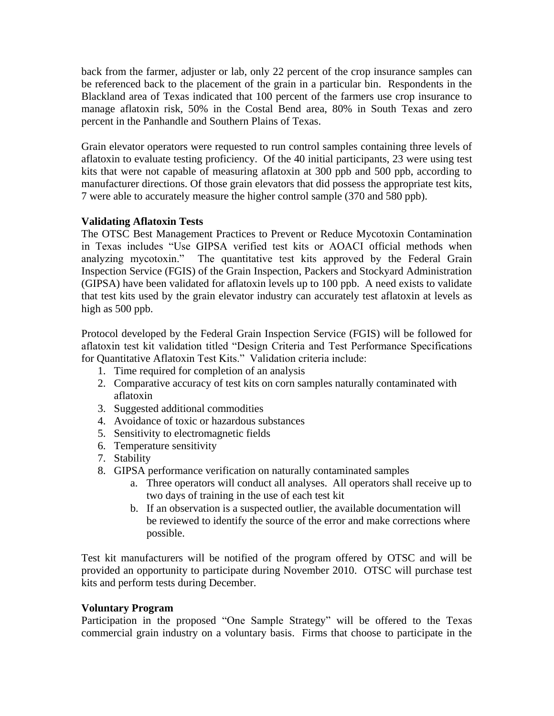back from the farmer, adjuster or lab, only 22 percent of the crop insurance samples can be referenced back to the placement of the grain in a particular bin. Respondents in the Blackland area of Texas indicated that 100 percent of the farmers use crop insurance to manage aflatoxin risk, 50% in the Costal Bend area, 80% in South Texas and zero percent in the Panhandle and Southern Plains of Texas.

Grain elevator operators were requested to run control samples containing three levels of aflatoxin to evaluate testing proficiency. Of the 40 initial participants, 23 were using test kits that were not capable of measuring aflatoxin at 300 ppb and 500 ppb, according to manufacturer directions. Of those grain elevators that did possess the appropriate test kits, 7 were able to accurately measure the higher control sample (370 and 580 ppb).

# **Validating Aflatoxin Tests**

The OTSC Best Management Practices to Prevent or Reduce Mycotoxin Contamination in Texas includes "Use GIPSA verified test kits or AOACI official methods when analyzing mycotoxin." The quantitative test kits approved by the Federal Grain Inspection Service (FGIS) of the Grain Inspection, Packers and Stockyard Administration (GIPSA) have been validated for aflatoxin levels up to 100 ppb. A need exists to validate that test kits used by the grain elevator industry can accurately test aflatoxin at levels as high as 500 ppb.

Protocol developed by the Federal Grain Inspection Service (FGIS) will be followed for aflatoxin test kit validation titled "Design Criteria and Test Performance Specifications for Quantitative Aflatoxin Test Kits." Validation criteria include:

- 1. Time required for completion of an analysis
- 2. Comparative accuracy of test kits on corn samples naturally contaminated with aflatoxin
- 3. Suggested additional commodities
- 4. Avoidance of toxic or hazardous substances
- 5. Sensitivity to electromagnetic fields
- 6. Temperature sensitivity
- 7. Stability
- 8. GIPSA performance verification on naturally contaminated samples
	- a. Three operators will conduct all analyses. All operators shall receive up to two days of training in the use of each test kit
	- b. If an observation is a suspected outlier, the available documentation will be reviewed to identify the source of the error and make corrections where possible.

Test kit manufacturers will be notified of the program offered by OTSC and will be provided an opportunity to participate during November 2010. OTSC will purchase test kits and perform tests during December.

#### **Voluntary Program**

Participation in the proposed "One Sample Strategy" will be offered to the Texas commercial grain industry on a voluntary basis. Firms that choose to participate in the